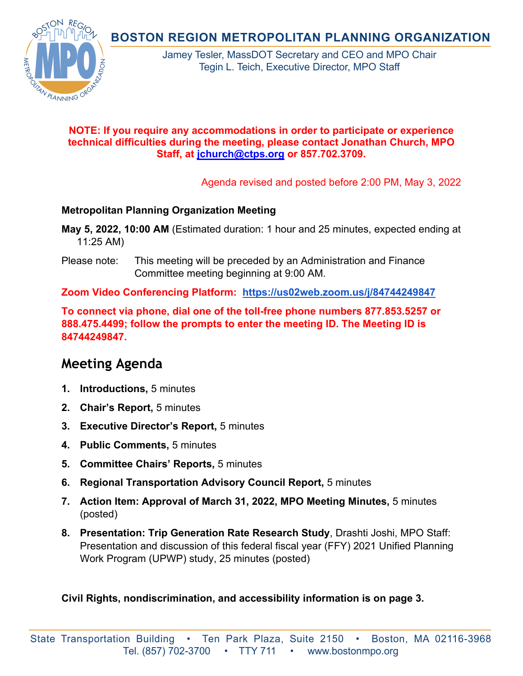**BOSTON REGION METROPOLITAN PLANNING ORGANIZATION** 



Jamey Tesler, MassDOT Secretary and CEO and MPO Chair Tegin L. Teich, Executive Director, MPO Staff

## **NOTE: If you require any accommodations in order to participate or experience technical difficulties during the meeting, please contact Jonathan Church, MPO Staff, at [jchurch@ctps.org](mailto:jchurch@ctps.org) or 857.702.3709.**

Agenda revised and posted before 2:00 PM, May 3, 2022

## **Metropolitan Planning Organization Meeting**

**May 5, 2022, 10:00 AM** (Estimated duration: 1 hour and 25 minutes, expected ending at 11:25 AM)

Please note: This meeting will be preceded by an Administration and Finance Committee meeting beginning at 9:00 AM.

**Zoom Video Conferencing Platform: <https://us02web.zoom.us/j/84744249847>**

**To connect via phone, dial one of the toll-free phone numbers 877.853.5257 or 888.475.4499; follow the prompts to enter the meeting ID. The Meeting ID is 84744249847.** 

# **Meeting Agenda**

- **1. Introductions,** 5 minutes
- **2. Chair's Report,** 5 minutes
- **3. Executive Director's Report,** 5 minutes
- **4. Public Comments,** 5 minutes
- **5. Committee Chairs' Reports,** 5 minutes
- **6. Regional Transportation Advisory Council Report,** 5 minutes
- **7. Action Item: Approval of March 31, 2022, MPO Meeting Minutes,** 5 minutes (posted)
- **8. Presentation: Trip Generation Rate Research Study**, Drashti Joshi, MPO Staff: Presentation and discussion of this federal fiscal year (FFY) 2021 Unified Planning Work Program (UPWP) study, 25 minutes (posted)

**Civil Rights, nondiscrimination, and accessibility information is on page 3.**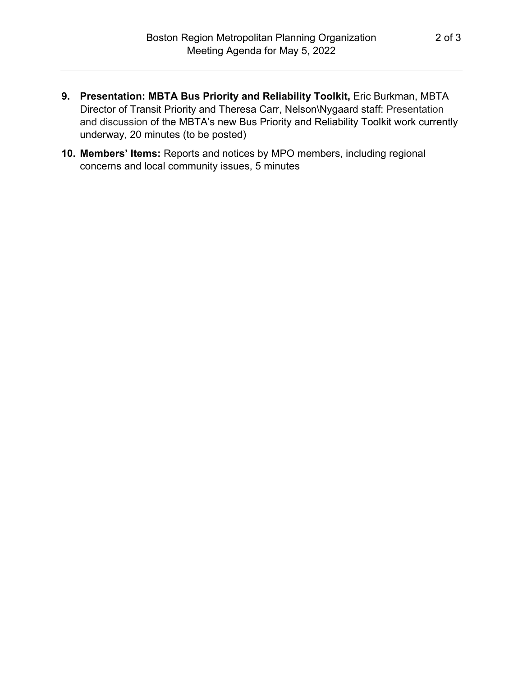- **9. Presentation: MBTA Bus Priority and Reliability Toolkit,** Eric Burkman, MBTA Director of Transit Priority and Theresa Carr, Nelson\Nygaard staff: Presentation and discussion of the MBTA's new Bus Priority and Reliability Toolkit work currently underway, 20 minutes (to be posted)
- **10. Members' Items:** Reports and notices by MPO members, including regional concerns and local community issues, 5 minutes